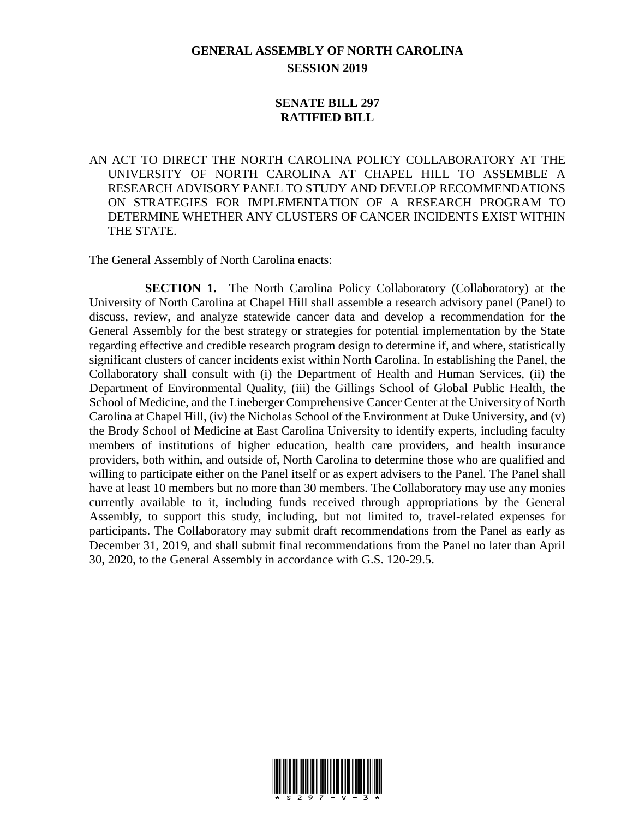## **GENERAL ASSEMBLY OF NORTH CAROLINA SESSION 2019**

## **SENATE BILL 297 RATIFIED BILL**

AN ACT TO DIRECT THE NORTH CAROLINA POLICY COLLABORATORY AT THE UNIVERSITY OF NORTH CAROLINA AT CHAPEL HILL TO ASSEMBLE A RESEARCH ADVISORY PANEL TO STUDY AND DEVELOP RECOMMENDATIONS ON STRATEGIES FOR IMPLEMENTATION OF A RESEARCH PROGRAM TO DETERMINE WHETHER ANY CLUSTERS OF CANCER INCIDENTS EXIST WITHIN THE STATE.

The General Assembly of North Carolina enacts:

**SECTION 1.** The North Carolina Policy Collaboratory (Collaboratory) at the University of North Carolina at Chapel Hill shall assemble a research advisory panel (Panel) to discuss, review, and analyze statewide cancer data and develop a recommendation for the General Assembly for the best strategy or strategies for potential implementation by the State regarding effective and credible research program design to determine if, and where, statistically significant clusters of cancer incidents exist within North Carolina. In establishing the Panel, the Collaboratory shall consult with (i) the Department of Health and Human Services, (ii) the Department of Environmental Quality, (iii) the Gillings School of Global Public Health, the School of Medicine, and the Lineberger Comprehensive Cancer Center at the University of North Carolina at Chapel Hill, (iv) the Nicholas School of the Environment at Duke University, and (v) the Brody School of Medicine at East Carolina University to identify experts, including faculty members of institutions of higher education, health care providers, and health insurance providers, both within, and outside of, North Carolina to determine those who are qualified and willing to participate either on the Panel itself or as expert advisers to the Panel. The Panel shall have at least 10 members but no more than 30 members. The Collaboratory may use any monies currently available to it, including funds received through appropriations by the General Assembly, to support this study, including, but not limited to, travel-related expenses for participants. The Collaboratory may submit draft recommendations from the Panel as early as December 31, 2019, and shall submit final recommendations from the Panel no later than April 30, 2020, to the General Assembly in accordance with G.S. 120-29.5.